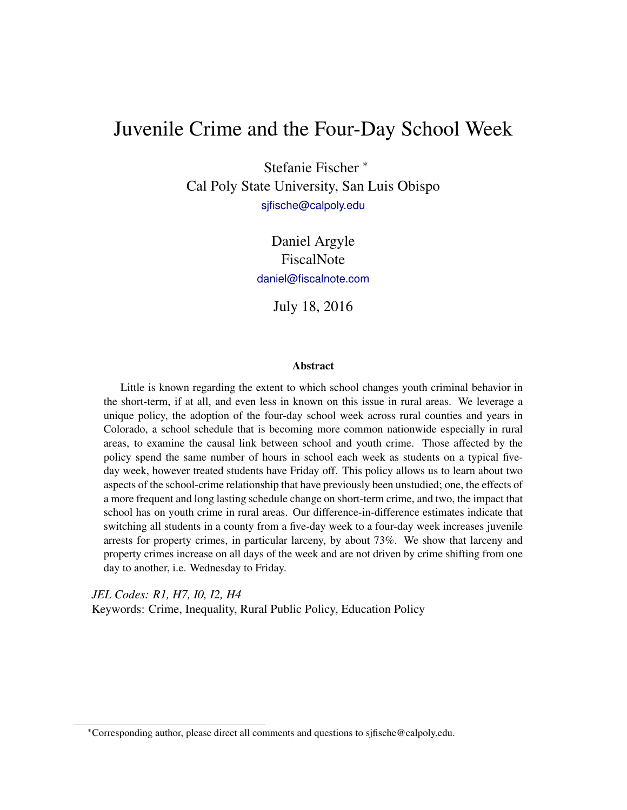# Juvenile Crime and the Four-Day School Week

Stefanie Fischer <sup>∗</sup> Cal Poly State University, San Luis Obispo [sjfische@calpoly.edu](mailto:sjfische@calpoly.edu)

> Daniel Argyle FiscalNote [daniel@fiscalnote.com](mailto:daniel@fiscalnote.com )

> > July 18, 2016

#### Abstract

Little is known regarding the extent to which school changes youth criminal behavior in the short-term, if at all, and even less in known on this issue in rural areas. We leverage a unique policy, the adoption of the four-day school week across rural counties and years in Colorado, a school schedule that is becoming more common nationwide especially in rural areas, to examine the causal link between school and youth crime. Those affected by the policy spend the same number of hours in school each week as students on a typical fiveday week, however treated students have Friday off. This policy allows us to learn about two aspects of the school-crime relationship that have previously been unstudied; one, the effects of a more frequent and long lasting schedule change on short-term crime, and two, the impact that school has on youth crime in rural areas. Our difference-in-difference estimates indicate that switching all students in a county from a five-day week to a four-day week increases juvenile arrests for property crimes, in particular larceny, by about 73%. We show that larceny and property crimes increase on all days of the week and are not driven by crime shifting from one day to another, i.e. Wednesday to Friday.

*JEL Codes: R1, H7, I0, I2, H4* Keywords: Crime, Inequality, Rural Public Policy, Education Policy

<sup>∗</sup>Corresponding author, please direct all comments and questions to sjfische@calpoly.edu.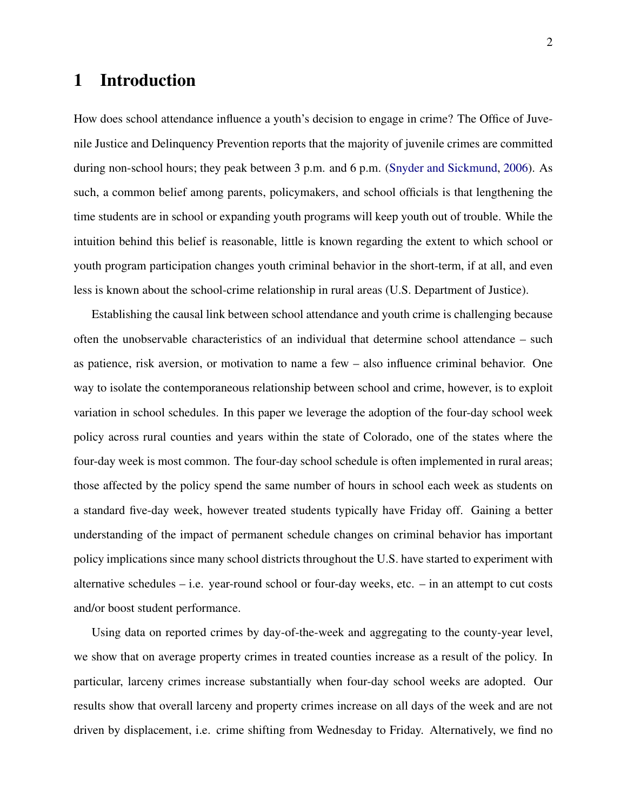## 1 Introduction

How does school attendance influence a youth's decision to engage in crime? The Office of Juvenile Justice and Delinquency Prevention reports that the majority of juvenile crimes are committed during non-school hours; they peak between 3 p.m. and 6 p.m. [\(Snyder and Sickmund,](#page-15-0) [2006\)](#page-15-0). As such, a common belief among parents, policymakers, and school officials is that lengthening the time students are in school or expanding youth programs will keep youth out of trouble. While the intuition behind this belief is reasonable, little is known regarding the extent to which school or youth program participation changes youth criminal behavior in the short-term, if at all, and even less is known about the school-crime relationship in rural areas (U.S. Department of Justice).

Establishing the causal link between school attendance and youth crime is challenging because often the unobservable characteristics of an individual that determine school attendance – such as patience, risk aversion, or motivation to name a few – also influence criminal behavior. One way to isolate the contemporaneous relationship between school and crime, however, is to exploit variation in school schedules. In this paper we leverage the adoption of the four-day school week policy across rural counties and years within the state of Colorado, one of the states where the four-day week is most common. The four-day school schedule is often implemented in rural areas; those affected by the policy spend the same number of hours in school each week as students on a standard five-day week, however treated students typically have Friday off. Gaining a better understanding of the impact of permanent schedule changes on criminal behavior has important policy implications since many school districts throughout the U.S. have started to experiment with alternative schedules – i.e. year-round school or four-day weeks, etc.  $-$  in an attempt to cut costs and/or boost student performance.

Using data on reported crimes by day-of-the-week and aggregating to the county-year level, we show that on average property crimes in treated counties increase as a result of the policy. In particular, larceny crimes increase substantially when four-day school weeks are adopted. Our results show that overall larceny and property crimes increase on all days of the week and are not driven by displacement, i.e. crime shifting from Wednesday to Friday. Alternatively, we find no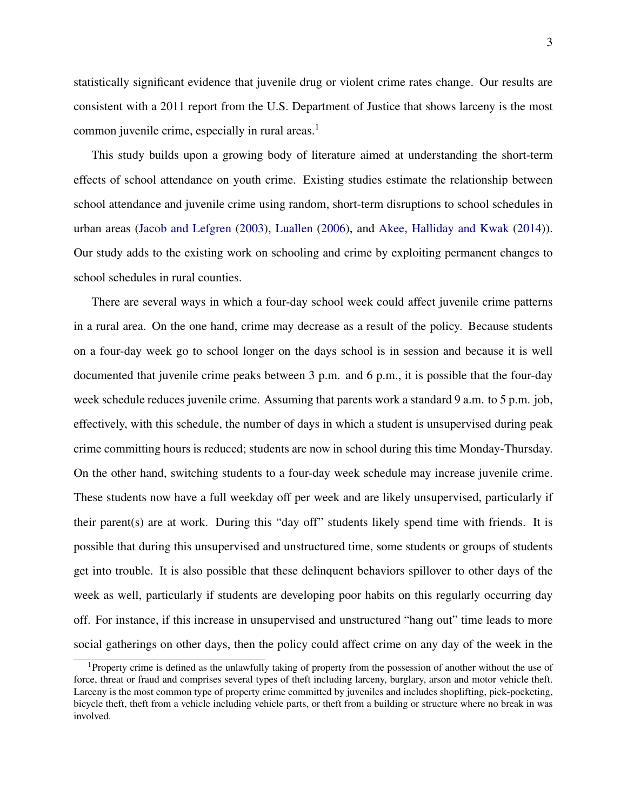statistically significant evidence that juvenile drug or violent crime rates change. Our results are consistent with a 2011 report from the U.S. Department of Justice that shows larceny is the most common juvenile crime, especially in rural areas. $<sup>1</sup>$  $<sup>1</sup>$  $<sup>1</sup>$ </sup>

This study builds upon a growing body of literature aimed at understanding the short-term effects of school attendance on youth crime. Existing studies estimate the relationship between school attendance and juvenile crime using random, short-term disruptions to school schedules in urban areas [\(Jacob and Lefgren](#page-14-0) [\(2003\)](#page-14-0), [Luallen](#page-15-1) [\(2006\)](#page-15-1), and [Akee, Halliday and Kwak](#page-14-1) [\(2014\)](#page-14-1)). Our study adds to the existing work on schooling and crime by exploiting permanent changes to school schedules in rural counties.

There are several ways in which a four-day school week could affect juvenile crime patterns in a rural area. On the one hand, crime may decrease as a result of the policy. Because students on a four-day week go to school longer on the days school is in session and because it is well documented that juvenile crime peaks between 3 p.m. and 6 p.m., it is possible that the four-day week schedule reduces juvenile crime. Assuming that parents work a standard 9 a.m. to 5 p.m. job, effectively, with this schedule, the number of days in which a student is unsupervised during peak crime committing hours is reduced; students are now in school during this time Monday-Thursday. On the other hand, switching students to a four-day week schedule may increase juvenile crime. These students now have a full weekday off per week and are likely unsupervised, particularly if their parent(s) are at work. During this "day off" students likely spend time with friends. It is possible that during this unsupervised and unstructured time, some students or groups of students get into trouble. It is also possible that these delinquent behaviors spillover to other days of the week as well, particularly if students are developing poor habits on this regularly occurring day off. For instance, if this increase in unsupervised and unstructured "hang out" time leads to more social gatherings on other days, then the policy could affect crime on any day of the week in the

<span id="page-2-0"></span><sup>&</sup>lt;sup>1</sup>Property crime is defined as the unlawfully taking of property from the possession of another without the use of force, threat or fraud and comprises several types of theft including larceny, burglary, arson and motor vehicle theft. Larceny is the most common type of property crime committed by juveniles and includes shoplifting, pick-pocketing, bicycle theft, theft from a vehicle including vehicle parts, or theft from a building or structure where no break in was involved.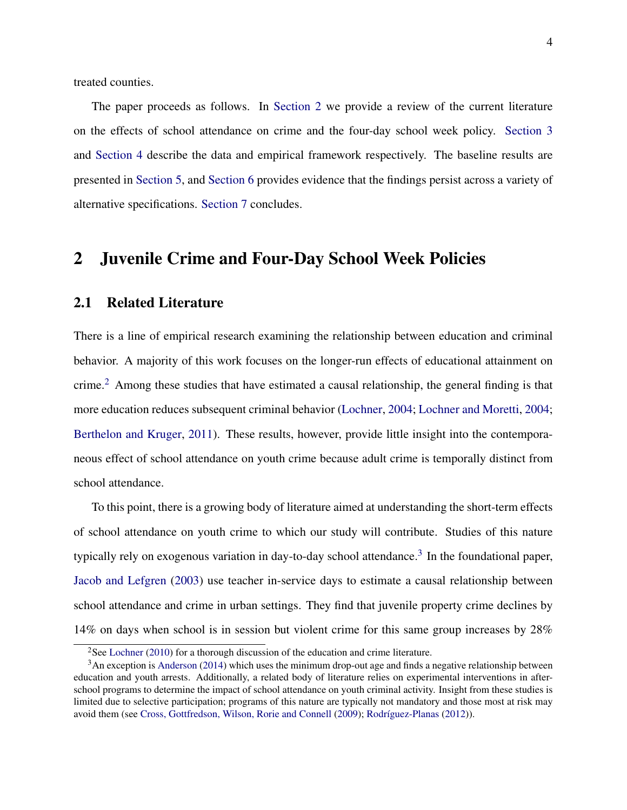treated counties.

The paper proceeds as follows. In [Section 2](#page-3-0) we provide a review of the current literature on the effects of school attendance on crime and the four-day school week policy. [Section 3](#page-5-0) and [Section 4](#page-8-0) describe the data and empirical framework respectively. The baseline results are presented in [Section 5,](#page-9-0) and [Section 6](#page-11-0) provides evidence that the findings persist across a variety of alternative specifications. [Section 7](#page-13-0) concludes.

#### <span id="page-3-0"></span>2 Juvenile Crime and Four-Day School Week Policies

#### 2.1 Related Literature

There is a line of empirical research examining the relationship between education and criminal behavior. A majority of this work focuses on the longer-run effects of educational attainment on crime.<sup>[2](#page-3-1)</sup> Among these studies that have estimated a causal relationship, the general finding is that more education reduces subsequent criminal behavior [\(Lochner,](#page-14-2) [2004;](#page-14-2) [Lochner and Moretti,](#page-14-3) [2004;](#page-14-3) [Berthelon and Kruger,](#page-14-4) [2011\)](#page-14-4). These results, however, provide little insight into the contemporaneous effect of school attendance on youth crime because adult crime is temporally distinct from school attendance.

To this point, there is a growing body of literature aimed at understanding the short-term effects of school attendance on youth crime to which our study will contribute. Studies of this nature typically rely on exogenous variation in day-to-day school attendance.<sup>[3](#page-3-2)</sup> In the foundational paper, [Jacob and Lefgren](#page-14-0) [\(2003\)](#page-14-0) use teacher in-service days to estimate a causal relationship between school attendance and crime in urban settings. They find that juvenile property crime declines by 14% on days when school is in session but violent crime for this same group increases by 28%

<span id="page-3-2"></span><span id="page-3-1"></span><sup>&</sup>lt;sup>2</sup>See [Lochner](#page-14-5) [\(2010\)](#page-14-5) for a thorough discussion of the education and crime literature.

<sup>&</sup>lt;sup>3</sup>An exception is [Anderson](#page-14-6) [\(2014\)](#page-14-6) which uses the minimum drop-out age and finds a negative relationship between education and youth arrests. Additionally, a related body of literature relies on experimental interventions in afterschool programs to determine the impact of school attendance on youth criminal activity. Insight from these studies is limited due to selective participation; programs of this nature are typically not mandatory and those most at risk may avoid them (see [Cross, Gottfredson, Wilson, Rorie and Connell](#page-14-7) [\(2009\)](#page-14-7); [Rodríguez-Planas](#page-15-2) [\(2012\)](#page-15-2)).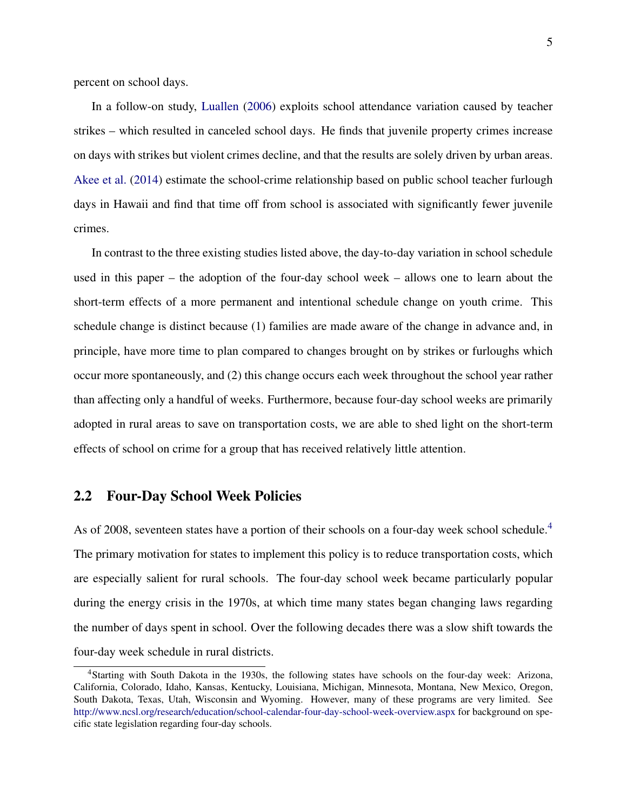percent on school days.

In a follow-on study, [Luallen](#page-15-1) [\(2006\)](#page-15-1) exploits school attendance variation caused by teacher strikes – which resulted in canceled school days. He finds that juvenile property crimes increase on days with strikes but violent crimes decline, and that the results are solely driven by urban areas. [Akee et al.](#page-14-1) [\(2014\)](#page-14-1) estimate the school-crime relationship based on public school teacher furlough days in Hawaii and find that time off from school is associated with significantly fewer juvenile crimes.

In contrast to the three existing studies listed above, the day-to-day variation in school schedule used in this paper – the adoption of the four-day school week – allows one to learn about the short-term effects of a more permanent and intentional schedule change on youth crime. This schedule change is distinct because (1) families are made aware of the change in advance and, in principle, have more time to plan compared to changes brought on by strikes or furloughs which occur more spontaneously, and (2) this change occurs each week throughout the school year rather than affecting only a handful of weeks. Furthermore, because four-day school weeks are primarily adopted in rural areas to save on transportation costs, we are able to shed light on the short-term effects of school on crime for a group that has received relatively little attention.

#### 2.2 Four-Day School Week Policies

As of 2008, seventeen states have a portion of their schools on a four-day week school schedule.<sup>[4](#page-4-0)</sup> The primary motivation for states to implement this policy is to reduce transportation costs, which are especially salient for rural schools. The four-day school week became particularly popular during the energy crisis in the 1970s, at which time many states began changing laws regarding the number of days spent in school. Over the following decades there was a slow shift towards the four-day week schedule in rural districts.

<span id="page-4-0"></span><sup>4</sup>Starting with South Dakota in the 1930s, the following states have schools on the four-day week: Arizona, California, Colorado, Idaho, Kansas, Kentucky, Louisiana, Michigan, Minnesota, Montana, New Mexico, Oregon, South Dakota, Texas, Utah, Wisconsin and Wyoming. However, many of these programs are very limited. See <http://www.ncsl.org/research/education/school-calendar-four-day-school-week-overview.aspx> for background on specific state legislation regarding four-day schools.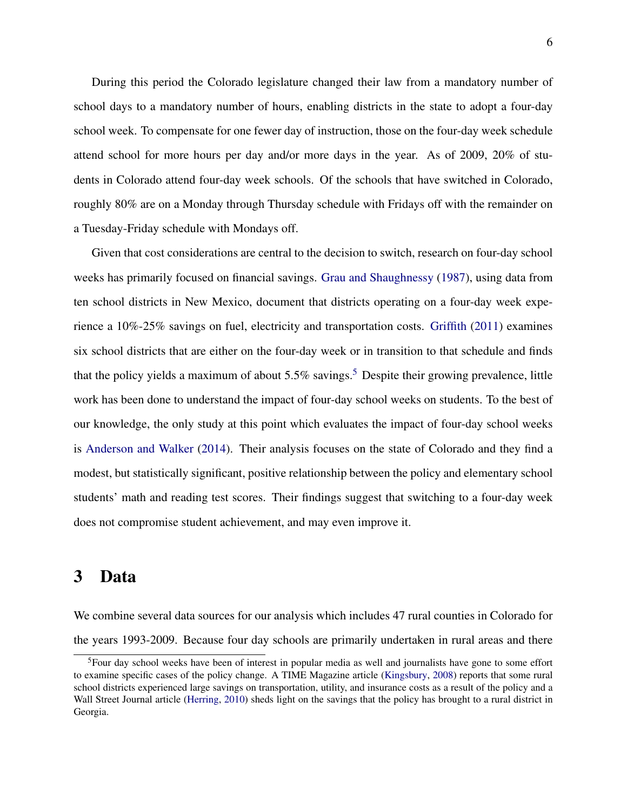During this period the Colorado legislature changed their law from a mandatory number of school days to a mandatory number of hours, enabling districts in the state to adopt a four-day school week. To compensate for one fewer day of instruction, those on the four-day week schedule attend school for more hours per day and/or more days in the year. As of 2009, 20% of students in Colorado attend four-day week schools. Of the schools that have switched in Colorado, roughly 80% are on a Monday through Thursday schedule with Fridays off with the remainder on a Tuesday-Friday schedule with Mondays off.

Given that cost considerations are central to the decision to switch, research on four-day school weeks has primarily focused on financial savings. [Grau and Shaughnessy](#page-14-8) [\(1987\)](#page-14-8), using data from ten school districts in New Mexico, document that districts operating on a four-day week experience a 10%-25% savings on fuel, electricity and transportation costs. [Griffith](#page-14-9) [\(2011\)](#page-14-9) examines six school districts that are either on the four-day week or in transition to that schedule and finds that the policy yields a maximum of about  $5.5\%$  $5.5\%$  savings.<sup>5</sup> Despite their growing prevalence, little work has been done to understand the impact of four-day school weeks on students. To the best of our knowledge, the only study at this point which evaluates the impact of four-day school weeks is [Anderson and Walker](#page-14-10) [\(2014\)](#page-14-10). Their analysis focuses on the state of Colorado and they find a modest, but statistically significant, positive relationship between the policy and elementary school students' math and reading test scores. Their findings suggest that switching to a four-day week does not compromise student achievement, and may even improve it.

#### <span id="page-5-0"></span>3 Data

We combine several data sources for our analysis which includes 47 rural counties in Colorado for the years 1993-2009. Because four day schools are primarily undertaken in rural areas and there

<span id="page-5-1"></span><sup>5</sup>Four day school weeks have been of interest in popular media as well and journalists have gone to some effort to examine specific cases of the policy change. A TIME Magazine article [\(Kingsbury,](#page-14-11) [2008\)](#page-14-11) reports that some rural school districts experienced large savings on transportation, utility, and insurance costs as a result of the policy and a Wall Street Journal article [\(Herring,](#page-14-12) [2010\)](#page-14-12) sheds light on the savings that the policy has brought to a rural district in Georgia.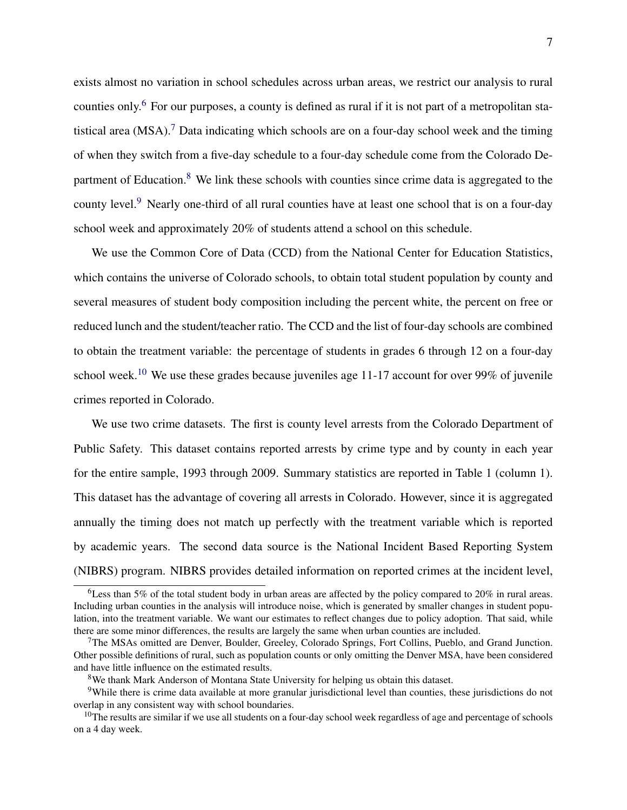exists almost no variation in school schedules across urban areas, we restrict our analysis to rural counties only.[6](#page-6-0) For our purposes, a county is defined as rural if it is not part of a metropolitan statistical area  $(MSA)$ .<sup>[7](#page-6-1)</sup> Data indicating which schools are on a four-day school week and the timing of when they switch from a five-day schedule to a four-day schedule come from the Colorado Department of Education. $8$  We link these schools with counties since crime data is aggregated to the county level.<sup>[9](#page-6-3)</sup> Nearly one-third of all rural counties have at least one school that is on a four-day school week and approximately 20% of students attend a school on this schedule.

We use the Common Core of Data (CCD) from the National Center for Education Statistics, which contains the universe of Colorado schools, to obtain total student population by county and several measures of student body composition including the percent white, the percent on free or reduced lunch and the student/teacher ratio. The CCD and the list of four-day schools are combined to obtain the treatment variable: the percentage of students in grades 6 through 12 on a four-day school week.<sup>[10](#page-6-4)</sup> We use these grades because juveniles age 11-17 account for over 99% of juvenile crimes reported in Colorado.

We use two crime datasets. The first is county level arrests from the Colorado Department of Public Safety. This dataset contains reported arrests by crime type and by county in each year for the entire sample, 1993 through 2009. Summary statistics are reported in Table 1 (column 1). This dataset has the advantage of covering all arrests in Colorado. However, since it is aggregated annually the timing does not match up perfectly with the treatment variable which is reported by academic years. The second data source is the National Incident Based Reporting System (NIBRS) program. NIBRS provides detailed information on reported crimes at the incident level,

<span id="page-6-0"></span><sup>&</sup>lt;sup>6</sup>Less than 5% of the total student body in urban areas are affected by the policy compared to 20% in rural areas. Including urban counties in the analysis will introduce noise, which is generated by smaller changes in student population, into the treatment variable. We want our estimates to reflect changes due to policy adoption. That said, while there are some minor differences, the results are largely the same when urban counties are included.

<span id="page-6-1"></span> $7$ The MSAs omitted are Denver, Boulder, Greeley, Colorado Springs, Fort Collins, Pueblo, and Grand Junction. Other possible definitions of rural, such as population counts or only omitting the Denver MSA, have been considered and have little influence on the estimated results.

<span id="page-6-3"></span><span id="page-6-2"></span><sup>8</sup>We thank Mark Anderson of Montana State University for helping us obtain this dataset.

<sup>&</sup>lt;sup>9</sup>While there is crime data available at more granular jurisdictional level than counties, these jurisdictions do not overlap in any consistent way with school boundaries.

<span id="page-6-4"></span> $10$ The results are similar if we use all students on a four-day school week regardless of age and percentage of schools on a 4 day week.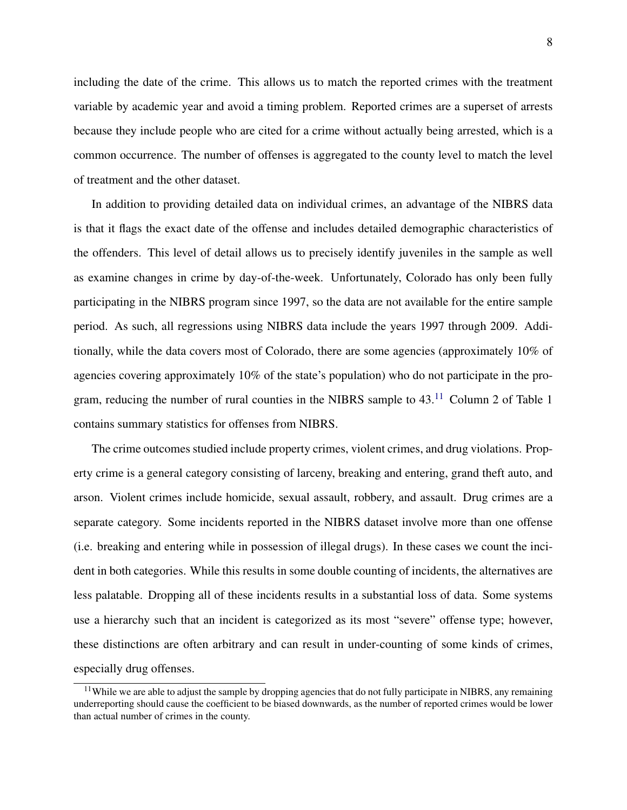including the date of the crime. This allows us to match the reported crimes with the treatment variable by academic year and avoid a timing problem. Reported crimes are a superset of arrests because they include people who are cited for a crime without actually being arrested, which is a common occurrence. The number of offenses is aggregated to the county level to match the level of treatment and the other dataset.

In addition to providing detailed data on individual crimes, an advantage of the NIBRS data is that it flags the exact date of the offense and includes detailed demographic characteristics of the offenders. This level of detail allows us to precisely identify juveniles in the sample as well as examine changes in crime by day-of-the-week. Unfortunately, Colorado has only been fully participating in the NIBRS program since 1997, so the data are not available for the entire sample period. As such, all regressions using NIBRS data include the years 1997 through 2009. Additionally, while the data covers most of Colorado, there are some agencies (approximately 10% of agencies covering approximately 10% of the state's population) who do not participate in the program, reducing the number of rural counties in the NIBRS sample to  $43<sup>11</sup>$  $43<sup>11</sup>$  $43<sup>11</sup>$  Column 2 of Table 1 contains summary statistics for offenses from NIBRS.

The crime outcomes studied include property crimes, violent crimes, and drug violations. Property crime is a general category consisting of larceny, breaking and entering, grand theft auto, and arson. Violent crimes include homicide, sexual assault, robbery, and assault. Drug crimes are a separate category. Some incidents reported in the NIBRS dataset involve more than one offense (i.e. breaking and entering while in possession of illegal drugs). In these cases we count the incident in both categories. While this results in some double counting of incidents, the alternatives are less palatable. Dropping all of these incidents results in a substantial loss of data. Some systems use a hierarchy such that an incident is categorized as its most "severe" offense type; however, these distinctions are often arbitrary and can result in under-counting of some kinds of crimes, especially drug offenses.

<span id="page-7-0"></span> $11$ While we are able to adjust the sample by dropping agencies that do not fully participate in NIBRS, any remaining underreporting should cause the coefficient to be biased downwards, as the number of reported crimes would be lower than actual number of crimes in the county.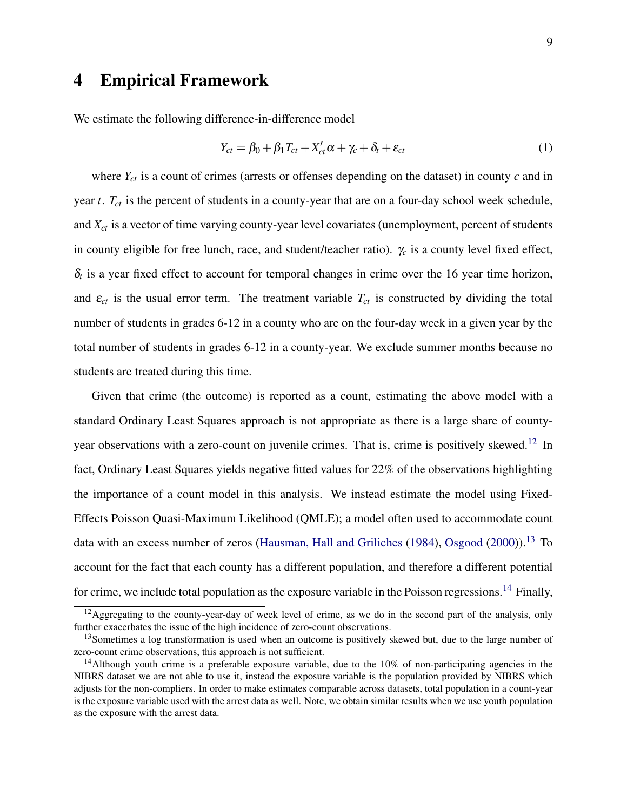### <span id="page-8-0"></span>4 Empirical Framework

We estimate the following difference-in-difference model

$$
Y_{ct} = \beta_0 + \beta_1 T_{ct} + X'_{ct} \alpha + \gamma_c + \delta_t + \varepsilon_{ct}
$$
\n(1)

where *Yct* is a count of crimes (arrests or offenses depending on the dataset) in county *c* and in year *t*. *Tct* is the percent of students in a county-year that are on a four-day school week schedule, and *Xct* is a vector of time varying county-year level covariates (unemployment, percent of students in county eligible for free lunch, race, and student/teacher ratio).  $\gamma_c$  is a county level fixed effect,  $\delta_t$  is a year fixed effect to account for temporal changes in crime over the 16 year time horizon, and  $\varepsilon_{ct}$  is the usual error term. The treatment variable  $T_{ct}$  is constructed by dividing the total number of students in grades 6-12 in a county who are on the four-day week in a given year by the total number of students in grades 6-12 in a county-year. We exclude summer months because no students are treated during this time.

Given that crime (the outcome) is reported as a count, estimating the above model with a standard Ordinary Least Squares approach is not appropriate as there is a large share of county-year observations with a zero-count on juvenile crimes. That is, crime is positively skewed.<sup>[12](#page-8-1)</sup> In fact, Ordinary Least Squares yields negative fitted values for 22% of the observations highlighting the importance of a count model in this analysis. We instead estimate the model using Fixed-Effects Poisson Quasi-Maximum Likelihood (QMLE); a model often used to accommodate count data with an excess number of zeros [\(Hausman, Hall and Griliches](#page-14-13) [\(1984\)](#page-14-13), [Osgood](#page-15-3) [\(2000\)](#page-15-3)).<sup>[13](#page-8-2)</sup> To account for the fact that each county has a different population, and therefore a different potential for crime, we include total population as the exposure variable in the Poisson regressions.<sup>[14](#page-8-3)</sup> Finally,

<span id="page-8-1"></span> $12$ Aggregating to the county-year-day of week level of crime, as we do in the second part of the analysis, only further exacerbates the issue of the high incidence of zero-count observations.

<span id="page-8-2"></span><sup>&</sup>lt;sup>13</sup>Sometimes a log transformation is used when an outcome is positively skewed but, due to the large number of zero-count crime observations, this approach is not sufficient.

<span id="page-8-3"></span><sup>&</sup>lt;sup>14</sup>Although youth crime is a preferable exposure variable, due to the 10% of non-participating agencies in the NIBRS dataset we are not able to use it, instead the exposure variable is the population provided by NIBRS which adjusts for the non-compliers. In order to make estimates comparable across datasets, total population in a count-year is the exposure variable used with the arrest data as well. Note, we obtain similar results when we use youth population as the exposure with the arrest data.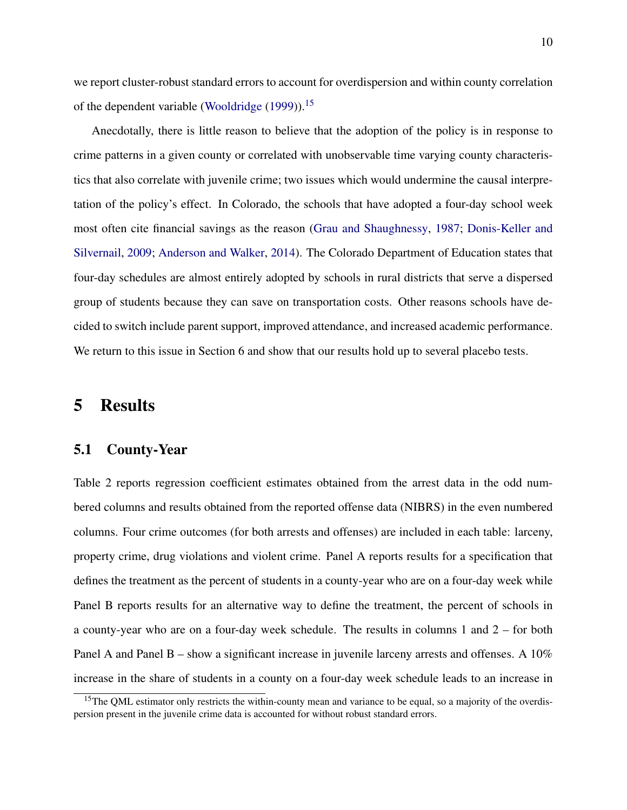we report cluster-robust standard errors to account for overdispersion and within county correlation of the dependent variable [\(Wooldridge](#page-15-4) [\(1999\)](#page-15-4)).<sup>[15](#page-9-1)</sup>

Anecdotally, there is little reason to believe that the adoption of the policy is in response to crime patterns in a given county or correlated with unobservable time varying county characteristics that also correlate with juvenile crime; two issues which would undermine the causal interpretation of the policy's effect. In Colorado, the schools that have adopted a four-day school week most often cite financial savings as the reason [\(Grau and Shaughnessy,](#page-14-8) [1987;](#page-14-8) [Donis-Keller and](#page-14-14) [Silvernail,](#page-14-14) [2009;](#page-14-14) [Anderson and Walker,](#page-14-10) [2014\)](#page-14-10). The Colorado Department of Education states that four-day schedules are almost entirely adopted by schools in rural districts that serve a dispersed group of students because they can save on transportation costs. Other reasons schools have decided to switch include parent support, improved attendance, and increased academic performance. We return to this issue in Section 6 and show that our results hold up to several placebo tests.

### <span id="page-9-0"></span>5 Results

#### 5.1 County-Year

Table 2 reports regression coefficient estimates obtained from the arrest data in the odd numbered columns and results obtained from the reported offense data (NIBRS) in the even numbered columns. Four crime outcomes (for both arrests and offenses) are included in each table: larceny, property crime, drug violations and violent crime. Panel A reports results for a specification that defines the treatment as the percent of students in a county-year who are on a four-day week while Panel B reports results for an alternative way to define the treatment, the percent of schools in a county-year who are on a four-day week schedule. The results in columns 1 and 2 – for both Panel A and Panel B – show a significant increase in juvenile larceny arrests and offenses. A 10% increase in the share of students in a county on a four-day week schedule leads to an increase in

<span id="page-9-1"></span><sup>&</sup>lt;sup>15</sup>The QML estimator only restricts the within-county mean and variance to be equal, so a majority of the overdispersion present in the juvenile crime data is accounted for without robust standard errors.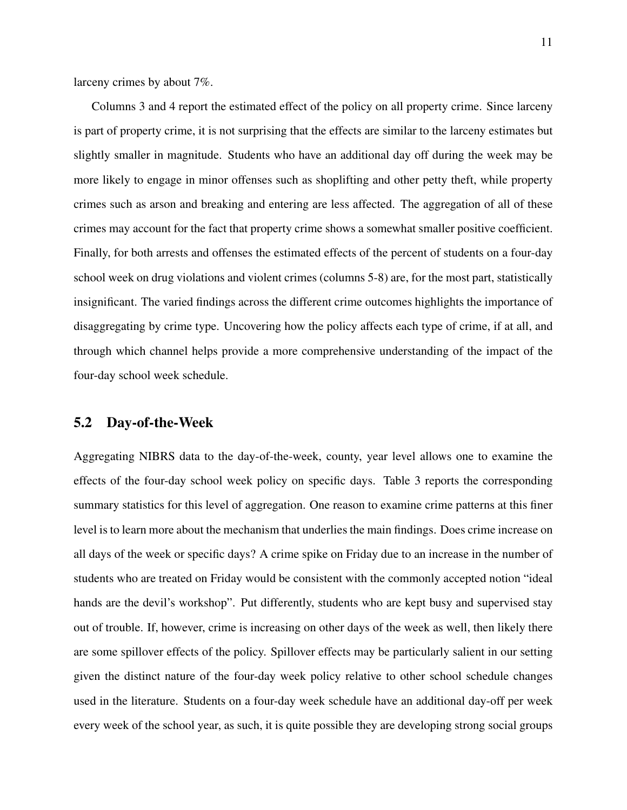larceny crimes by about 7%.

Columns 3 and 4 report the estimated effect of the policy on all property crime. Since larceny is part of property crime, it is not surprising that the effects are similar to the larceny estimates but slightly smaller in magnitude. Students who have an additional day off during the week may be more likely to engage in minor offenses such as shoplifting and other petty theft, while property crimes such as arson and breaking and entering are less affected. The aggregation of all of these crimes may account for the fact that property crime shows a somewhat smaller positive coefficient. Finally, for both arrests and offenses the estimated effects of the percent of students on a four-day school week on drug violations and violent crimes (columns 5-8) are, for the most part, statistically insignificant. The varied findings across the different crime outcomes highlights the importance of disaggregating by crime type. Uncovering how the policy affects each type of crime, if at all, and through which channel helps provide a more comprehensive understanding of the impact of the four-day school week schedule.

#### 5.2 Day-of-the-Week

Aggregating NIBRS data to the day-of-the-week, county, year level allows one to examine the effects of the four-day school week policy on specific days. Table 3 reports the corresponding summary statistics for this level of aggregation. One reason to examine crime patterns at this finer level is to learn more about the mechanism that underlies the main findings. Does crime increase on all days of the week or specific days? A crime spike on Friday due to an increase in the number of students who are treated on Friday would be consistent with the commonly accepted notion "ideal hands are the devil's workshop". Put differently, students who are kept busy and supervised stay out of trouble. If, however, crime is increasing on other days of the week as well, then likely there are some spillover effects of the policy. Spillover effects may be particularly salient in our setting given the distinct nature of the four-day week policy relative to other school schedule changes used in the literature. Students on a four-day week schedule have an additional day-off per week every week of the school year, as such, it is quite possible they are developing strong social groups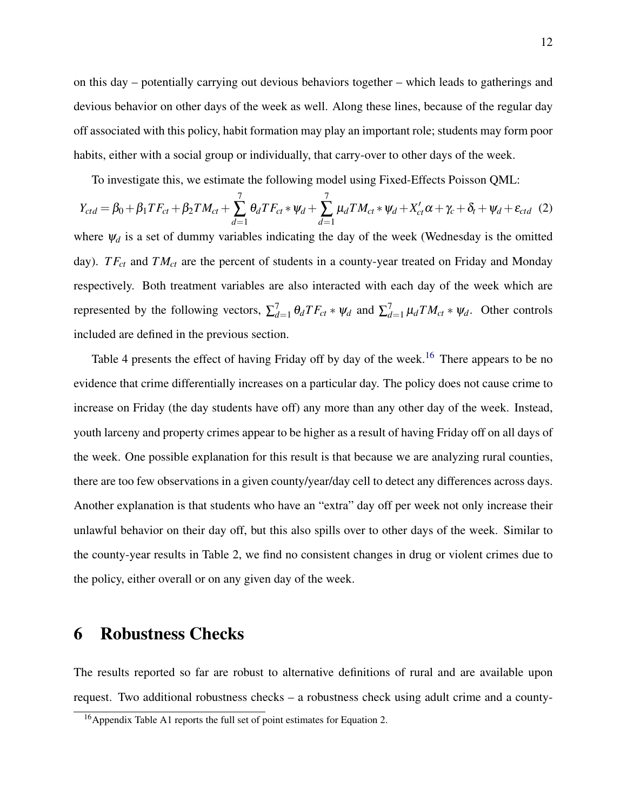on this day – potentially carrying out devious behaviors together – which leads to gatherings and devious behavior on other days of the week as well. Along these lines, because of the regular day off associated with this policy, habit formation may play an important role; students may form poor habits, either with a social group or individually, that carry-over to other days of the week.

To investigate this, we estimate the following model using Fixed-Effects Poisson QML:

$$
Y_{ctd} = \beta_0 + \beta_1 TF_{ct} + \beta_2 TM_{ct} + \sum_{d=1}^{7} \theta_d TF_{ct} * \psi_d + \sum_{d=1}^{7} \mu_d TM_{ct} * \psi_d + X_{ct}' \alpha + \gamma_c + \delta_t + \psi_d + \varepsilon_{ctd} \tag{2}
$$

where  $\psi_d$  is a set of dummy variables indicating the day of the week (Wednesday is the omitted day). *T Fct* and *TMct* are the percent of students in a county-year treated on Friday and Monday respectively. Both treatment variables are also interacted with each day of the week which are represented by the following vectors,  $\sum_{d=1}^{7} \theta_d T F_{ct} * \psi_d$  and  $\sum_{d=1}^{7} \mu_d T M_{ct} * \psi_d$ . Other controls included are defined in the previous section.

Table 4 presents the effect of having Friday off by day of the week.<sup>[16](#page-11-1)</sup> There appears to be no evidence that crime differentially increases on a particular day. The policy does not cause crime to increase on Friday (the day students have off) any more than any other day of the week. Instead, youth larceny and property crimes appear to be higher as a result of having Friday off on all days of the week. One possible explanation for this result is that because we are analyzing rural counties, there are too few observations in a given county/year/day cell to detect any differences across days. Another explanation is that students who have an "extra" day off per week not only increase their unlawful behavior on their day off, but this also spills over to other days of the week. Similar to the county-year results in Table 2, we find no consistent changes in drug or violent crimes due to the policy, either overall or on any given day of the week.

### <span id="page-11-0"></span>6 Robustness Checks

The results reported so far are robust to alternative definitions of rural and are available upon request. Two additional robustness checks – a robustness check using adult crime and a county-

<span id="page-11-1"></span><sup>&</sup>lt;sup>16</sup> Appendix Table A1 reports the full set of point estimates for Equation 2.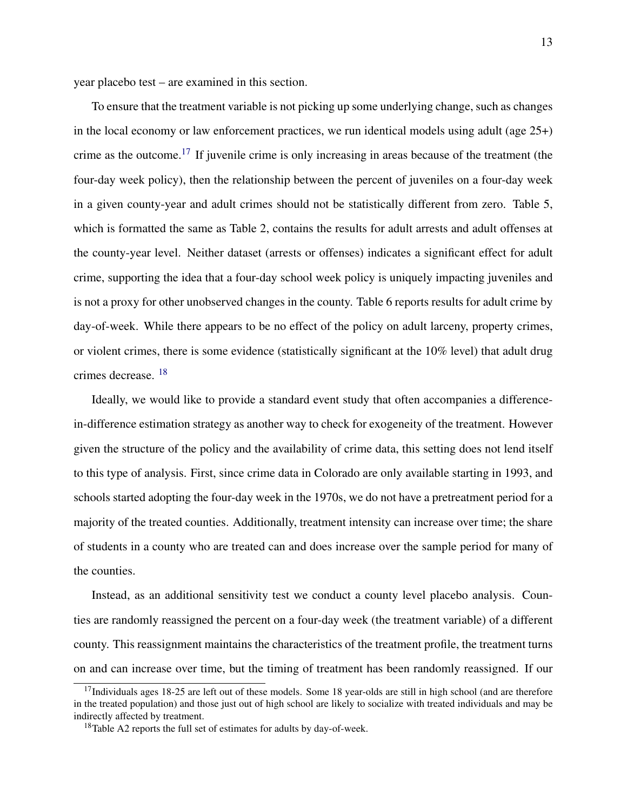year placebo test – are examined in this section.

To ensure that the treatment variable is not picking up some underlying change, such as changes in the local economy or law enforcement practices, we run identical models using adult (age 25+) crime as the outcome.<sup>[17](#page-12-0)</sup> If juvenile crime is only increasing in areas because of the treatment (the four-day week policy), then the relationship between the percent of juveniles on a four-day week in a given county-year and adult crimes should not be statistically different from zero. Table 5, which is formatted the same as Table 2, contains the results for adult arrests and adult offenses at the county-year level. Neither dataset (arrests or offenses) indicates a significant effect for adult crime, supporting the idea that a four-day school week policy is uniquely impacting juveniles and is not a proxy for other unobserved changes in the county. Table 6 reports results for adult crime by day-of-week. While there appears to be no effect of the policy on adult larceny, property crimes, or violent crimes, there is some evidence (statistically significant at the 10% level) that adult drug crimes decrease. [18](#page-12-1)

Ideally, we would like to provide a standard event study that often accompanies a differencein-difference estimation strategy as another way to check for exogeneity of the treatment. However given the structure of the policy and the availability of crime data, this setting does not lend itself to this type of analysis. First, since crime data in Colorado are only available starting in 1993, and schools started adopting the four-day week in the 1970s, we do not have a pretreatment period for a majority of the treated counties. Additionally, treatment intensity can increase over time; the share of students in a county who are treated can and does increase over the sample period for many of the counties.

Instead, as an additional sensitivity test we conduct a county level placebo analysis. Counties are randomly reassigned the percent on a four-day week (the treatment variable) of a different county. This reassignment maintains the characteristics of the treatment profile, the treatment turns on and can increase over time, but the timing of treatment has been randomly reassigned. If our

<span id="page-12-0"></span> $17$ Individuals ages 18-25 are left out of these models. Some 18 year-olds are still in high school (and are therefore in the treated population) and those just out of high school are likely to socialize with treated individuals and may be indirectly affected by treatment.

<span id="page-12-1"></span><sup>&</sup>lt;sup>18</sup>Table A2 reports the full set of estimates for adults by day-of-week.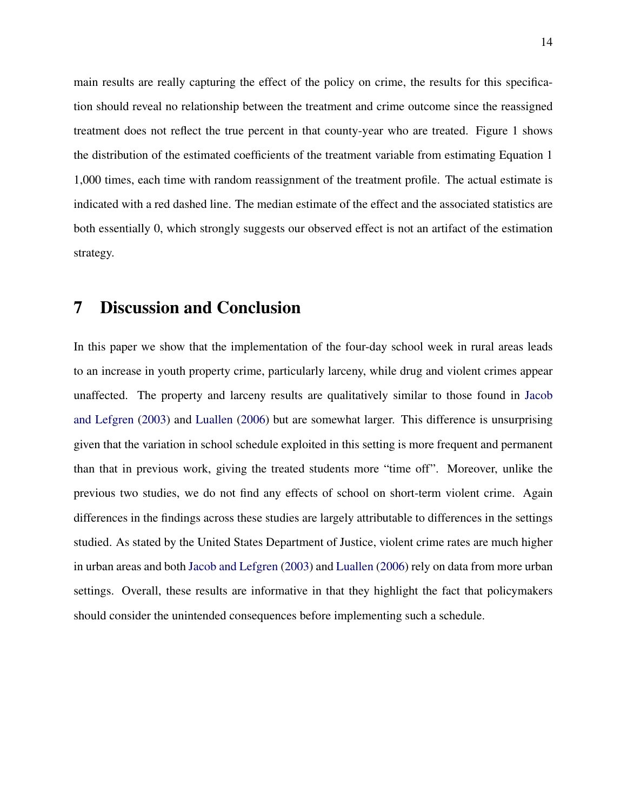main results are really capturing the effect of the policy on crime, the results for this specification should reveal no relationship between the treatment and crime outcome since the reassigned treatment does not reflect the true percent in that county-year who are treated. Figure 1 shows the distribution of the estimated coefficients of the treatment variable from estimating Equation 1 1,000 times, each time with random reassignment of the treatment profile. The actual estimate is indicated with a red dashed line. The median estimate of the effect and the associated statistics are both essentially 0, which strongly suggests our observed effect is not an artifact of the estimation strategy.

### <span id="page-13-0"></span>7 Discussion and Conclusion

In this paper we show that the implementation of the four-day school week in rural areas leads to an increase in youth property crime, particularly larceny, while drug and violent crimes appear unaffected. The property and larceny results are qualitatively similar to those found in [Jacob](#page-14-0) [and Lefgren](#page-14-0) [\(2003\)](#page-14-0) and [Luallen](#page-15-1) [\(2006\)](#page-15-1) but are somewhat larger. This difference is unsurprising given that the variation in school schedule exploited in this setting is more frequent and permanent than that in previous work, giving the treated students more "time off". Moreover, unlike the previous two studies, we do not find any effects of school on short-term violent crime. Again differences in the findings across these studies are largely attributable to differences in the settings studied. As stated by the United States Department of Justice, violent crime rates are much higher in urban areas and both [Jacob and Lefgren](#page-14-0) [\(2003\)](#page-14-0) and [Luallen](#page-15-1) [\(2006\)](#page-15-1) rely on data from more urban settings. Overall, these results are informative in that they highlight the fact that policymakers should consider the unintended consequences before implementing such a schedule.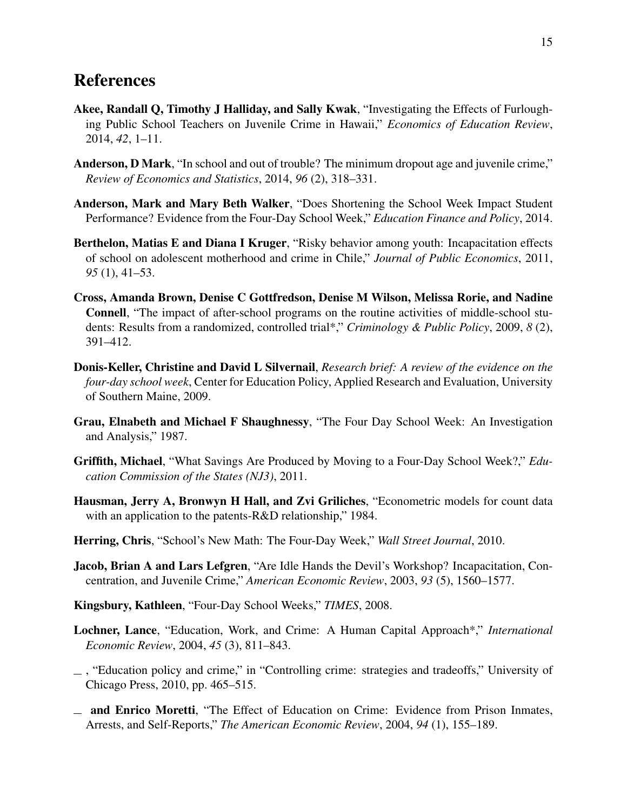### References

- <span id="page-14-1"></span>Akee, Randall Q, Timothy J Halliday, and Sally Kwak, "Investigating the Effects of Furloughing Public School Teachers on Juvenile Crime in Hawaii," *Economics of Education Review*, 2014, *42*, 1–11.
- <span id="page-14-6"></span>Anderson, D Mark, "In school and out of trouble? The minimum dropout age and juvenile crime," *Review of Economics and Statistics*, 2014, *96* (2), 318–331.
- <span id="page-14-10"></span>Anderson, Mark and Mary Beth Walker, "Does Shortening the School Week Impact Student Performance? Evidence from the Four-Day School Week," *Education Finance and Policy*, 2014.
- <span id="page-14-4"></span>Berthelon, Matias E and Diana I Kruger, "Risky behavior among youth: Incapacitation effects of school on adolescent motherhood and crime in Chile," *Journal of Public Economics*, 2011, *95* (1), 41–53.
- <span id="page-14-7"></span>Cross, Amanda Brown, Denise C Gottfredson, Denise M Wilson, Melissa Rorie, and Nadine Connell, "The impact of after-school programs on the routine activities of middle-school students: Results from a randomized, controlled trial\*," *Criminology & Public Policy*, 2009, *8* (2), 391–412.
- <span id="page-14-14"></span>Donis-Keller, Christine and David L Silvernail, *Research brief: A review of the evidence on the four-day school week*, Center for Education Policy, Applied Research and Evaluation, University of Southern Maine, 2009.
- <span id="page-14-8"></span>Grau, Elnabeth and Michael F Shaughnessy, "The Four Day School Week: An Investigation and Analysis," 1987.
- <span id="page-14-9"></span>Griffith, Michael, "What Savings Are Produced by Moving to a Four-Day School Week?," *Education Commission of the States (NJ3)*, 2011.
- <span id="page-14-13"></span>Hausman, Jerry A, Bronwyn H Hall, and Zvi Griliches, "Econometric models for count data with an application to the patents-R&D relationship," 1984.
- <span id="page-14-12"></span>Herring, Chris, "School's New Math: The Four-Day Week," *Wall Street Journal*, 2010.
- <span id="page-14-0"></span>Jacob, Brian A and Lars Lefgren, "Are Idle Hands the Devil's Workshop? Incapacitation, Concentration, and Juvenile Crime," *American Economic Review*, 2003, *93* (5), 1560–1577.
- <span id="page-14-11"></span>Kingsbury, Kathleen, "Four-Day School Weeks," *TIMES*, 2008.
- <span id="page-14-2"></span>Lochner, Lance, "Education, Work, and Crime: A Human Capital Approach\*," *International Economic Review*, 2004, *45* (3), 811–843.
- <span id="page-14-5"></span>, "Education policy and crime," in "Controlling crime: strategies and tradeoffs," University of Chicago Press, 2010, pp. 465–515.
- <span id="page-14-3"></span>and Enrico Moretti, "The Effect of Education on Crime: Evidence from Prison Inmates, Arrests, and Self-Reports," *The American Economic Review*, 2004, *94* (1), 155–189.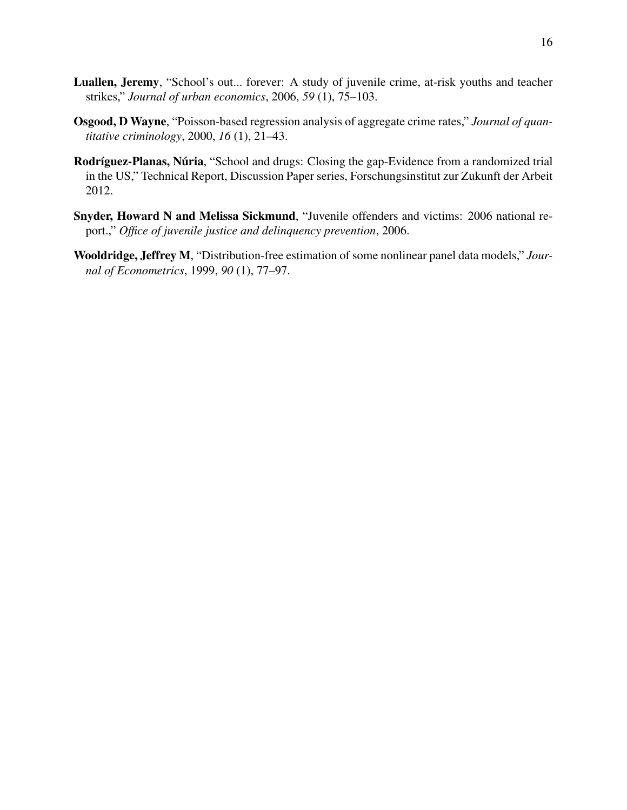- <span id="page-15-1"></span>Luallen, Jeremy, "School's out... forever: A study of juvenile crime, at-risk youths and teacher strikes," *Journal of urban economics*, 2006, *59* (1), 75–103.
- <span id="page-15-3"></span>Osgood, D Wayne, "Poisson-based regression analysis of aggregate crime rates," *Journal of quantitative criminology*, 2000, *16* (1), 21–43.
- <span id="page-15-2"></span>Rodríguez-Planas, Núria, "School and drugs: Closing the gap-Evidence from a randomized trial in the US," Technical Report, Discussion Paper series, Forschungsinstitut zur Zukunft der Arbeit 2012.
- <span id="page-15-0"></span>Snyder, Howard N and Melissa Sickmund, "Juvenile offenders and victims: 2006 national report.," *Office of juvenile justice and delinquency prevention*, 2006.
- <span id="page-15-4"></span>Wooldridge, Jeffrey M, "Distribution-free estimation of some nonlinear panel data models," *Journal of Econometrics*, 1999, *90* (1), 77–97.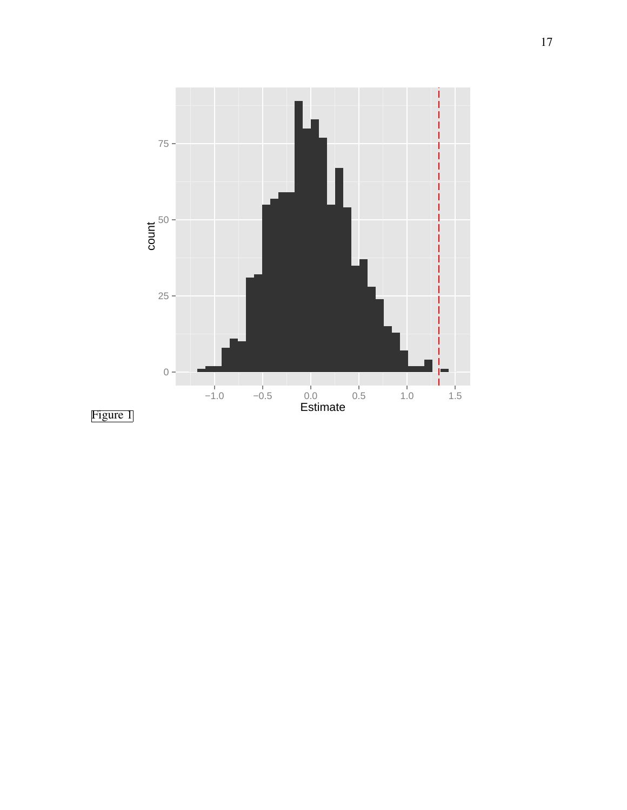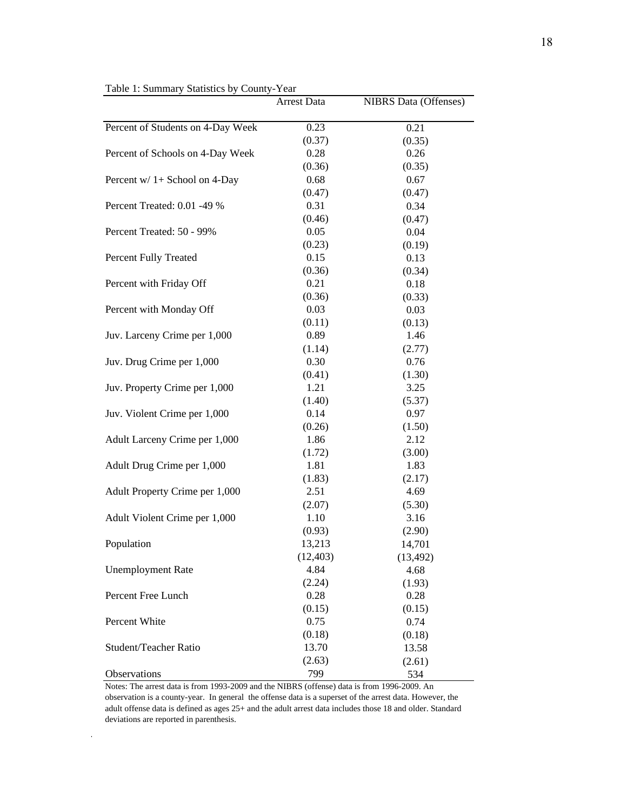|                                                        | <b>Arrest Data</b>                                 | <b>NIBRS</b> Data (Offenses)                       |
|--------------------------------------------------------|----------------------------------------------------|----------------------------------------------------|
|                                                        |                                                    |                                                    |
| Percent of Students on 4-Day Week                      | 0.23                                               | 0.21                                               |
|                                                        | (0.37)                                             | (0.35)                                             |
| Percent of Schools on 4-Day Week                       | 0.28                                               | 0.26                                               |
|                                                        | (0.36)                                             | (0.35)                                             |
| Percent w/ 1+ School on 4-Day                          | 0.68                                               | 0.67                                               |
|                                                        | (0.47)                                             | (0.47)                                             |
| Percent Treated: 0.01 -49 %                            | 0.31                                               | 0.34                                               |
|                                                        | (0.46)                                             | (0.47)                                             |
| Percent Treated: 50 - 99%                              | 0.05                                               | 0.04                                               |
|                                                        | (0.23)                                             | (0.19)                                             |
| Percent Fully Treated                                  | 0.15                                               | 0.13                                               |
|                                                        | (0.36)                                             | (0.34)                                             |
| Percent with Friday Off                                | 0.21                                               | 0.18                                               |
|                                                        | (0.36)                                             | (0.33)                                             |
| Percent with Monday Off                                | 0.03                                               | 0.03                                               |
|                                                        | (0.11)                                             | (0.13)                                             |
| Juv. Larceny Crime per 1,000                           | 0.89                                               | 1.46                                               |
|                                                        | (1.14)                                             | (2.77)                                             |
| Juv. Drug Crime per 1,000                              | 0.30                                               | 0.76                                               |
|                                                        | (0.41)                                             | (1.30)                                             |
| Juv. Property Crime per 1,000                          | 1.21                                               | 3.25                                               |
|                                                        | (1.40)                                             | (5.37)                                             |
| Juv. Violent Crime per 1,000                           | 0.14                                               | 0.97                                               |
|                                                        | (0.26)                                             | (1.50)                                             |
| Adult Larceny Crime per 1,000                          | 1.86                                               | 2.12                                               |
|                                                        | (1.72)                                             | (3.00)                                             |
| Adult Drug Crime per 1,000                             | 1.81                                               | 1.83                                               |
|                                                        | (1.83)                                             | (2.17)                                             |
| Adult Property Crime per 1,000                         | 2.51                                               | 4.69                                               |
|                                                        | (2.07)                                             | (5.30)                                             |
| Adult Violent Crime per 1,000                          | 1.10                                               | 3.16                                               |
|                                                        | (0.93)                                             | (2.90)                                             |
| Population                                             | 13,213                                             | 14,701                                             |
|                                                        | (12, 403)<br>4.84                                  | (13, 492)                                          |
| <b>Unemployment Rate</b>                               |                                                    | 4.68                                               |
| Percent Free Lunch                                     | (2.24)<br>0.28                                     | (1.93)<br>0.28                                     |
|                                                        |                                                    |                                                    |
|                                                        |                                                    |                                                    |
|                                                        |                                                    |                                                    |
|                                                        |                                                    |                                                    |
|                                                        |                                                    |                                                    |
|                                                        |                                                    |                                                    |
| Percent White<br>Student/Teacher Ratio<br>Observations | (0.15)<br>0.75<br>(0.18)<br>13.70<br>(2.63)<br>799 | (0.15)<br>0.74<br>(0.18)<br>13.58<br>(2.61)<br>534 |

Table 1: Summary Statistics by County-Year

Notes: The arrest data is from 1993-2009 and the NIBRS (offense) data is from 1996-2009. An observation is a county-year. In general the offense data is a superset of the arrest data. However, the adult offense data is defined as ages 25+ and the adult arrest data includes those 18 and older. Standard deviations are reported in parenthesis.

 $\ddot{\phantom{1}}$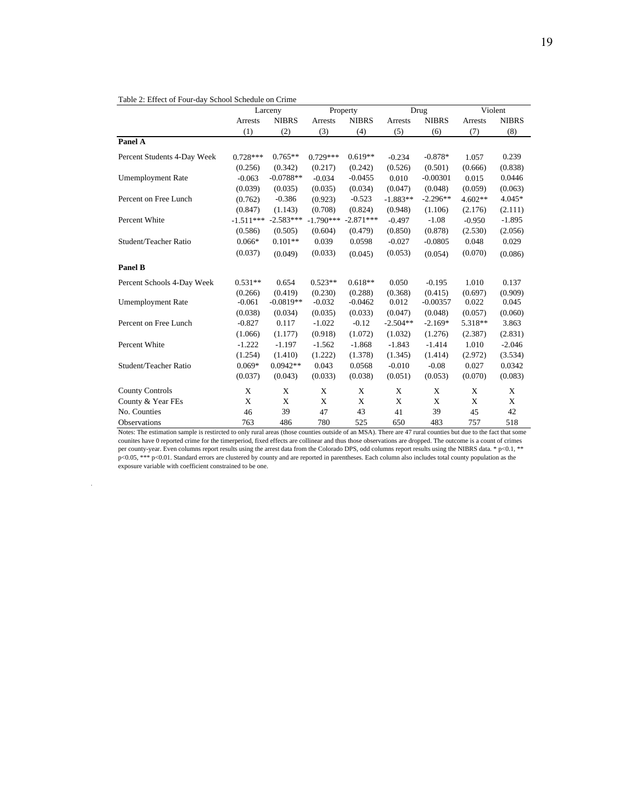|                             |             | Larceny      |             | Property     |            | Drug         |           | Violent      |  |
|-----------------------------|-------------|--------------|-------------|--------------|------------|--------------|-----------|--------------|--|
|                             | Arrests     | <b>NIBRS</b> | Arrests     | <b>NIBRS</b> | Arrests    | <b>NIBRS</b> | Arrests   | <b>NIBRS</b> |  |
|                             | (1)         | (2)          | (3)         | (4)          | (5)        | (6)          | (7)       | (8)          |  |
| Panel A                     |             |              |             |              |            |              |           |              |  |
| Percent Students 4-Day Week | $0.728***$  | $0.765**$    | $0.729***$  | $0.619**$    | $-0.234$   | $-0.878*$    | 1.057     | 0.239        |  |
|                             | (0.256)     | (0.342)      | (0.217)     | (0.242)      | (0.526)    | (0.501)      | (0.666)   | (0.838)      |  |
| <b>Umemployment Rate</b>    | $-0.063$    | $-0.0788**$  | $-0.034$    | $-0.0455$    | 0.010      | $-0.00301$   | 0.015     | 0.0446       |  |
|                             | (0.039)     | (0.035)      | (0.035)     | (0.034)      | (0.047)    | (0.048)      | (0.059)   | (0.063)      |  |
| Percent on Free Lunch       | (0.762)     | $-0.386$     | (0.923)     | $-0.523$     | $-1.883**$ | $-2.296**$   | $4.602**$ | $4.045*$     |  |
|                             | (0.847)     | (1.143)      | (0.708)     | (0.824)      | (0.948)    | (1.106)      | (2.176)   | (2.111)      |  |
| Percent White               | $-1.511***$ | $-2.583***$  | $-1.790***$ | $-2.871***$  | $-0.497$   | $-1.08$      | $-0.950$  | $-1.895$     |  |
|                             | (0.586)     | (0.505)      | (0.604)     | (0.479)      | (0.850)    | (0.878)      | (2.530)   | (2.056)      |  |
| Student/Teacher Ratio       | $0.066*$    | $0.101**$    | 0.039       | 0.0598       | $-0.027$   | $-0.0805$    | 0.048     | 0.029        |  |
|                             | (0.037)     | (0.049)      | (0.033)     | (0.045)      | (0.053)    | (0.054)      | (0.070)   | (0.086)      |  |
| <b>Panel B</b>              |             |              |             |              |            |              |           |              |  |
| Percent Schools 4-Day Week  | $0.531**$   | 0.654        | $0.523**$   | $0.618**$    | 0.050      | $-0.195$     | 1.010     | 0.137        |  |
|                             | (0.266)     | (0.419)      | (0.230)     | (0.288)      | (0.368)    | (0.415)      | (0.697)   | (0.909)      |  |
| <b>Umemployment Rate</b>    | $-0.061$    | $-0.0819**$  | $-0.032$    | $-0.0462$    | 0.012      | $-0.00357$   | 0.022     | 0.045        |  |
|                             | (0.038)     | (0.034)      | (0.035)     | (0.033)      | (0.047)    | (0.048)      | (0.057)   | (0.060)      |  |
| Percent on Free Lunch       | $-0.827$    | 0.117        | $-1.022$    | $-0.12$      | $-2.504**$ | $-2.169*$    | 5.318**   | 3.863        |  |
|                             | (1.066)     | (1.177)      | (0.918)     | (1.072)      | (1.032)    | (1.276)      | (2.387)   | (2.831)      |  |
| Percent White               | $-1.222$    | $-1.197$     | $-1.562$    | $-1.868$     | $-1.843$   | $-1.414$     | 1.010     | $-2.046$     |  |
|                             | (1.254)     | (1.410)      | (1.222)     | (1.378)      | (1.345)    | (1.414)      | (2.972)   | (3.534)      |  |
| Student/Teacher Ratio       | $0.069*$    | $0.0942**$   | 0.043       | 0.0568       | $-0.010$   | $-0.08$      | 0.027     | 0.0342       |  |
|                             | (0.037)     | (0.043)      | (0.033)     | (0.038)      | (0.051)    | (0.053)      | (0.070)   | (0.083)      |  |
| <b>County Controls</b>      | X           | X            | X           | X            | X          | X            | X         | X            |  |
| County & Year FEs           | X           | X            | X           | X            | X          | X            | X         | X            |  |
| No. Counties                | 46          | 39           | 47          | 43           | 41         | 39           | 45        | 42           |  |
| Observations                | 763         | 486          | 780         | 525          | 650        | 483          | 757       | 518          |  |

Notes: The estimation sample is restircted to only rural areas (those counties outside of an MSA). There are 47 rural counties but due to the fact that some counites have 0 reported crime for the timerperiod, fixed effects are collinear and thus those observations are dropped. The outcome is a count of crimes per county-year. Even columns report results using the arrest data from the Colorado DPS, odd columns report results using the NIBRS data. \* p<0.1, \*\* p<0.05, \*\*\* p<0.01. Standard errors are clustered by county and are reported in parentheses. Each column also includes total county population as the exposure variable with coefficient constrained to be one.

 $\sim$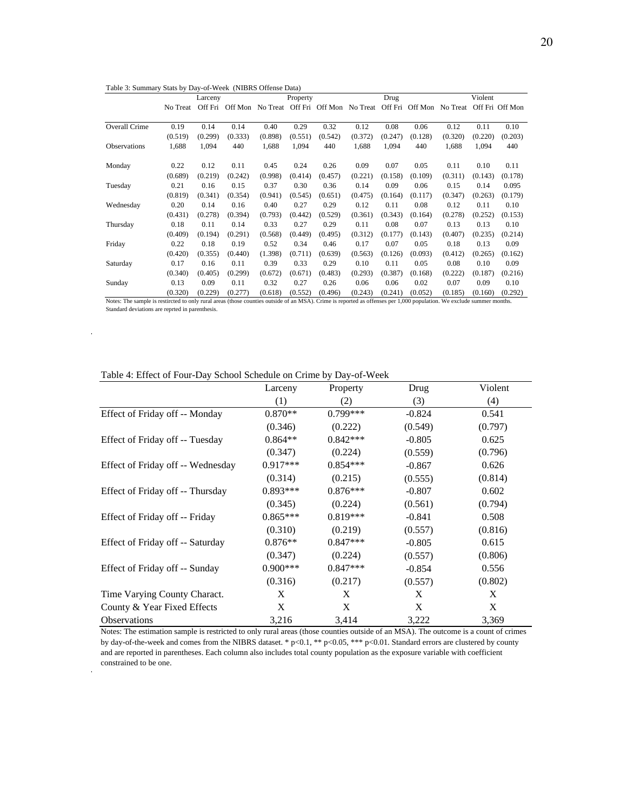|                     | Larceny  |         | Property |          |         | Drug            |          |         | Violent |                  |         |                 |
|---------------------|----------|---------|----------|----------|---------|-----------------|----------|---------|---------|------------------|---------|-----------------|
|                     | No Treat | Off Fri | Off Mon  | No Treat |         | Off Fri Off Mon | No Treat | Off Fri |         | Off Mon No Treat |         | Off Fri Off Mon |
|                     |          |         |          |          |         |                 |          |         |         |                  |         |                 |
| Overall Crime       | 0.19     | 0.14    | 0.14     | 0.40     | 0.29    | 0.32            | 0.12     | 0.08    | 0.06    | 0.12             | 0.11    | 0.10            |
|                     | (0.519)  | (0.299) | (0.333)  | (0.898)  | (0.551) | (0.542)         | (0.372)  | (0.247) | (0.128) | (0.320)          | (0.220) | (0.203)         |
| <b>Observations</b> | 1,688    | 1,094   | 440      | 1,688    | 1,094   | 440             | 1,688    | 1,094   | 440     | 1,688            | 1,094   | 440             |
| Monday              | 0.22     | 0.12    | 0.11     | 0.45     | 0.24    | 0.26            | 0.09     | 0.07    | 0.05    | 0.11             | 0.10    | 0.11            |
|                     | (0.689)  | (0.219) | (0.242)  | (0.998)  | (0.414) | (0.457)         | (0.221)  | (0.158) | (0.109) | (0.311)          | (0.143) | (0.178)         |
| Tuesday             | 0.21     | 0.16    | 0.15     | 0.37     | 0.30    | 0.36            | 0.14     | 0.09    | 0.06    | 0.15             | 0.14    | 0.095           |
|                     | (0.819)  | (0.341) | (0.354)  | (0.941)  | (0.545) | (0.651)         | (0.475)  | (0.164) | (0.117) | (0.347)          | (0.263) | (0.179)         |
| Wednesday           | 0.20     | 0.14    | 0.16     | 0.40     | 0.27    | 0.29            | 0.12     | 0.11    | 0.08    | 0.12             | 0.11    | 0.10            |
|                     | (0.431)  | (0.278) | (0.394)  | (0.793)  | (0.442) | (0.529)         | (0.361)  | (0.343) | (0.164) | (0.278)          | (0.252) | (0.153)         |
| Thursday            | 0.18     | 0.11    | 0.14     | 0.33     | 0.27    | 0.29            | 0.11     | 0.08    | 0.07    | 0.13             | 0.13    | 0.10            |
|                     | (0.409)  | (0.194) | (0.291)  | (0.568)  | (0.449) | (0.495)         | (0.312)  | (0.177) | (0.143) | (0.407)          | (0.235) | (0.214)         |
| Friday              | 0.22     | 0.18    | 0.19     | 0.52     | 0.34    | 0.46            | 0.17     | 0.07    | 0.05    | 0.18             | 0.13    | 0.09            |
|                     | (0.420)  | (0.355) | (0.440)  | (1.398)  | (0.711) | (0.639)         | (0.563)  | (0.126) | (0.093) | (0.412)          | (0.265) | (0.162)         |
| Saturday            | 0.17     | 0.16    | 0.11     | 0.39     | 0.33    | 0.29            | 0.10     | 0.11    | 0.05    | 0.08             | 0.10    | 0.09            |
|                     | (0.340)  | (0.405) | (0.299)  | (0.672)  | (0.671) | (0.483)         | (0.293)  | (0.387) | (0.168) | (0.222)          | (0.187) | (0.216)         |
| Sunday              | 0.13     | 0.09    | 0.11     | 0.32     | 0.27    | 0.26            | 0.06     | 0.06    | 0.02    | 0.07             | 0.09    | 0.10            |
|                     | (0.320)  | (0.229) | (0.277)  | (0.618)  | (0.552) | (0.496)         | (0.243)  | (0.241) | (0.052) | (0.185)          | (0.160) | (0.292)         |

Table 3: Summary Stats by Day-of-Week (NIBRS Offense Data)

Notes: The sample is restircted to only rural areas (those counties outside of an MSA). Crime is reported as offenses per 1,000 population. We exclude summer months. Standard deviations are reprted in parenthesis.

 $\epsilon$ 

l,

Table 4: Effect of Four-Day School Schedule on Crime by Day-of-Week

|                                   | Larceny    | Property   | Drug     | Violent |
|-----------------------------------|------------|------------|----------|---------|
|                                   | (1)        | (2)        | (3)      | (4)     |
| Effect of Friday off -- Monday    | $0.870**$  | $0.799***$ | $-0.824$ | 0.541   |
|                                   | (0.346)    | (0.222)    | (0.549)  | (0.797) |
| Effect of Friday off -- Tuesday   | $0.864**$  | $0.842***$ | $-0.805$ | 0.625   |
|                                   | (0.347)    | (0.224)    | (0.559)  | (0.796) |
| Effect of Friday off -- Wednesday | $0.917***$ | $0.854***$ | $-0.867$ | 0.626   |
|                                   | (0.314)    | (0.215)    | (0.555)  | (0.814) |
| Effect of Friday off -- Thursday  | $0.893***$ | $0.876***$ | $-0.807$ | 0.602   |
|                                   | (0.345)    | (0.224)    | (0.561)  | (0.794) |
| Effect of Friday off -- Friday    | $0.865***$ | $0.819***$ | $-0.841$ | 0.508   |
|                                   | (0.310)    | (0.219)    | (0.557)  | (0.816) |
| Effect of Friday off -- Saturday  | $0.876**$  | $0.847***$ | $-0.805$ | 0.615   |
|                                   | (0.347)    | (0.224)    | (0.557)  | (0.806) |
| Effect of Friday off -- Sunday    | $0.900***$ | $0.847***$ | $-0.854$ | 0.556   |
|                                   | (0.316)    | (0.217)    | (0.557)  | (0.802) |
| Time Varying County Charact.      | X          | X          | X        | X       |
| County & Year Fixed Effects       | X          | X          | X        | X       |
| Observations                      | 3,216      | 3,414      | 3,222    | 3,369   |

Notes: The estimation sample is restricted to only rural areas (those counties outside of an MSA). The outcome is a count of crimes by day-of-the-week and comes from the NIBRS dataset. \* p<0.1, \*\* p<0.05, \*\*\* p<0.01. Standard errors are clustered by county and are reported in parentheses. Each column also includes total county population as the exposure variable with coefficient constrained to be one.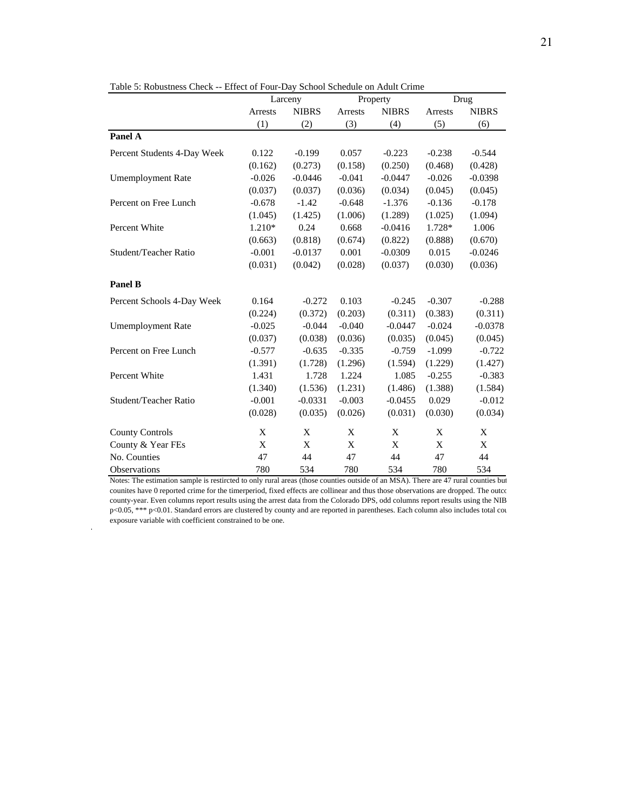|                             |                | Larceny      |          | Property     | Drug     |              |
|-----------------------------|----------------|--------------|----------|--------------|----------|--------------|
|                             | <b>Arrests</b> | <b>NIBRS</b> | Arrests  | <b>NIBRS</b> | Arrests  | <b>NIBRS</b> |
|                             | (1)            | (2)          | (3)      | (4)          | (5)      | (6)          |
| Panel A                     |                |              |          |              |          |              |
| Percent Students 4-Day Week | 0.122          | $-0.199$     | 0.057    | $-0.223$     | $-0.238$ | $-0.544$     |
|                             | (0.162)        | (0.273)      | (0.158)  | (0.250)      | (0.468)  | (0.428)      |
| <b>Umemployment Rate</b>    | $-0.026$       | $-0.0446$    | $-0.041$ | $-0.0447$    | $-0.026$ | $-0.0398$    |
|                             | (0.037)        | (0.037)      | (0.036)  | (0.034)      | (0.045)  | (0.045)      |
| Percent on Free Lunch       | $-0.678$       | $-1.42$      | $-0.648$ | $-1.376$     | $-0.136$ | $-0.178$     |
|                             | (1.045)        | (1.425)      | (1.006)  | (1.289)      | (1.025)  | (1.094)      |
| Percent White               | 1.210*         | 0.24         | 0.668    | $-0.0416$    | 1.728*   | 1.006        |
|                             | (0.663)        | (0.818)      | (0.674)  | (0.822)      | (0.888)  | (0.670)      |
| Student/Teacher Ratio       | $-0.001$       | $-0.0137$    | 0.001    | $-0.0309$    | 0.015    | $-0.0246$    |
|                             | (0.031)        | (0.042)      | (0.028)  | (0.037)      | (0.030)  | (0.036)      |
| Panel B                     |                |              |          |              |          |              |
| Percent Schools 4-Day Week  | 0.164          | $-0.272$     | 0.103    | $-0.245$     | $-0.307$ | $-0.288$     |
|                             | (0.224)        | (0.372)      | (0.203)  | (0.311)      | (0.383)  | (0.311)      |
| <b>Umemployment Rate</b>    | $-0.025$       | $-0.044$     | $-0.040$ | $-0.0447$    | $-0.024$ | $-0.0378$    |
|                             | (0.037)        | (0.038)      | (0.036)  | (0.035)      | (0.045)  | (0.045)      |
| Percent on Free Lunch       | $-0.577$       | $-0.635$     | $-0.335$ | $-0.759$     | $-1.099$ | $-0.722$     |
|                             | (1.391)        | (1.728)      | (1.296)  | (1.594)      | (1.229)  | (1.427)      |
| Percent White               | 1.431          | 1.728        | 1.224    | 1.085        | $-0.255$ | $-0.383$     |
|                             | (1.340)        | (1.536)      | (1.231)  | (1.486)      | (1.388)  | (1.584)      |
| Student/Teacher Ratio       | $-0.001$       | $-0.0331$    | $-0.003$ | $-0.0455$    | 0.029    | $-0.012$     |
|                             | (0.028)        | (0.035)      | (0.026)  | (0.031)      | (0.030)  | (0.034)      |
| <b>County Controls</b>      | X              | X            | X        | X            | X        | X            |
| County & Year FEs           | X              | X            | X        | X            | X        | X            |
| No. Counties                | 47             | 44           | 47       | 44           | 47       | 44           |
| Observations                | 780            | 534          | 780      | 534          | 780      | 534          |

Notes: The estimation sample is restircted to only rural areas (those counties outside of an MSA). There are 47 rural counties but counites have 0 reported crime for the timerperiod, fixed effects are collinear and thus those observations are dropped. The outco county-year. Even columns report results using the arrest data from the Colorado DPS, odd columns report results using the NIB p<0.05, \*\*\* p<0.01. Standard errors are clustered by county and are reported in parentheses. Each column also includes total cou exposure variable with coefficient constrained to be one.

 $\overline{\phantom{a}}$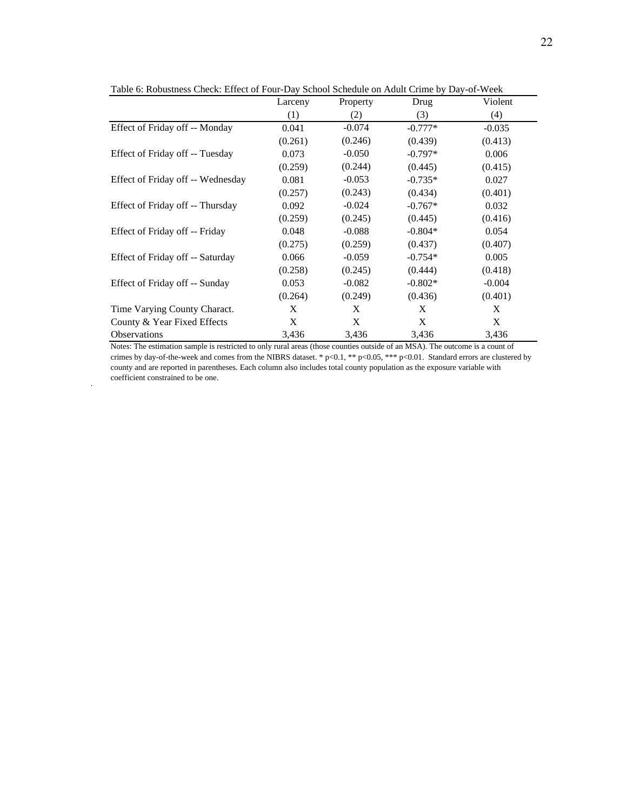|                                   | Larceny | Property | Drug      | Violent  |
|-----------------------------------|---------|----------|-----------|----------|
|                                   | (1)     | (2)      | (3)       | (4)      |
| Effect of Friday off -- Monday    | 0.041   | $-0.074$ | $-0.777*$ | $-0.035$ |
|                                   | (0.261) | (0.246)  | (0.439)   | (0.413)  |
| Effect of Friday off -- Tuesday   | 0.073   | $-0.050$ | $-0.797*$ | 0.006    |
|                                   | (0.259) | (0.244)  | (0.445)   | (0.415)  |
| Effect of Friday off -- Wednesday | 0.081   | $-0.053$ | $-0.735*$ | 0.027    |
|                                   | (0.257) | (0.243)  | (0.434)   | (0.401)  |
| Effect of Friday off -- Thursday  | 0.092   | $-0.024$ | $-0.767*$ | 0.032    |
|                                   | (0.259) | (0.245)  | (0.445)   | (0.416)  |
| Effect of Friday off -- Friday    | 0.048   | $-0.088$ | $-0.804*$ | 0.054    |
|                                   | (0.275) | (0.259)  | (0.437)   | (0.407)  |
| Effect of Friday off -- Saturday  | 0.066   | $-0.059$ | $-0.754*$ | 0.005    |
|                                   | (0.258) | (0.245)  | (0.444)   | (0.418)  |
| Effect of Friday off -- Sunday    | 0.053   | $-0.082$ | $-0.802*$ | $-0.004$ |
|                                   | (0.264) | (0.249)  | (0.436)   | (0.401)  |
| Time Varying County Charact.      | X       | X        | X         | X        |
| County & Year Fixed Effects       | X       | X        | X         | X        |
| Observations                      | 3,436   | 3,436    | 3,436     | 3,436    |

Table 6: Robustness Check: Effect of Four-Day School Schedule on Adult Crime by Day-of-Week

Notes: The estimation sample is restricted to only rural areas (those counties outside of an MSA). The outcome is a count of crimes by day-of-the-week and comes from the NIBRS dataset. \* p<0.1, \*\* p<0.05, \*\*\* p<0.01. Standard errors are clustered by county and are reported in parentheses. Each column also includes total county population as the exposure variable with coefficient constrained to be one.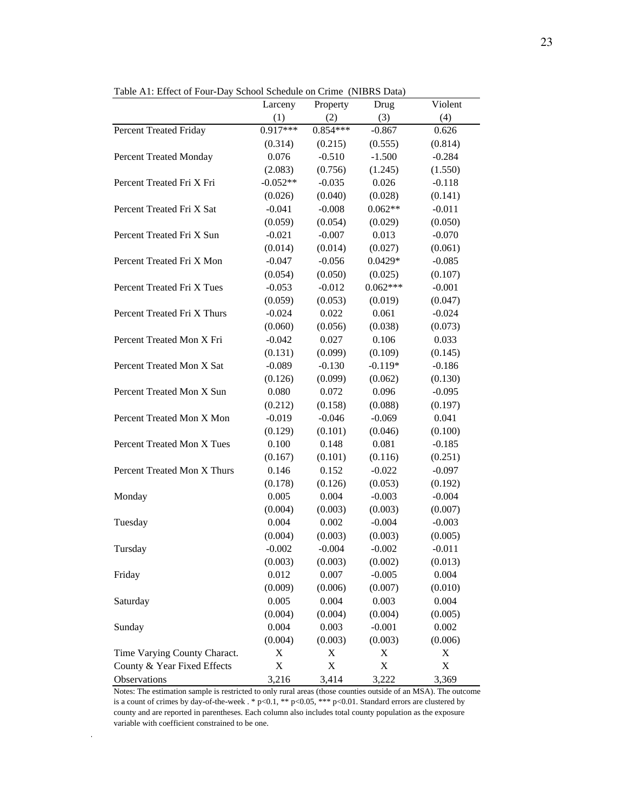|                              | $\mu$ below below the compact $\mu$ and $\mu$ ball $\mu$<br>Larceny | Property    | Drug        | Violent  |
|------------------------------|---------------------------------------------------------------------|-------------|-------------|----------|
|                              | (1)                                                                 | (2)         | (3)         | (4)      |
| Percent Treated Friday       | $0.917***$                                                          | $0.854***$  | $-0.867$    | 0.626    |
|                              | (0.314)                                                             | (0.215)     | (0.555)     | (0.814)  |
| Percent Treated Monday       | 0.076                                                               | $-0.510$    | $-1.500$    | $-0.284$ |
|                              | (2.083)                                                             | (0.756)     | (1.245)     | (1.550)  |
| Percent Treated Fri X Fri    | $-0.052**$                                                          | $-0.035$    | 0.026       | $-0.118$ |
|                              | (0.026)                                                             | (0.040)     | (0.028)     | (0.141)  |
| Percent Treated Fri X Sat    | $-0.041$                                                            | $-0.008$    | $0.062**$   | $-0.011$ |
|                              | (0.059)                                                             | (0.054)     | (0.029)     | (0.050)  |
| Percent Treated Fri X Sun    | $-0.021$                                                            | $-0.007$    | 0.013       | $-0.070$ |
|                              | (0.014)                                                             | (0.014)     | (0.027)     | (0.061)  |
| Percent Treated Fri X Mon    | $-0.047$                                                            | $-0.056$    | $0.0429*$   | $-0.085$ |
|                              | (0.054)                                                             | (0.050)     | (0.025)     | (0.107)  |
| Percent Treated Fri X Tues   | $-0.053$                                                            | $-0.012$    | $0.062***$  | $-0.001$ |
|                              | (0.059)                                                             | (0.053)     | (0.019)     | (0.047)  |
| Percent Treated Fri X Thurs  | $-0.024$                                                            | 0.022       | 0.061       | $-0.024$ |
|                              | (0.060)                                                             | (0.056)     | (0.038)     | (0.073)  |
| Percent Treated Mon X Fri    | $-0.042$                                                            | 0.027       | 0.106       | 0.033    |
|                              | (0.131)                                                             | (0.099)     | (0.109)     | (0.145)  |
| Percent Treated Mon X Sat    | $-0.089$                                                            | $-0.130$    | $-0.119*$   | $-0.186$ |
|                              | (0.126)                                                             | (0.099)     | (0.062)     | (0.130)  |
| Percent Treated Mon X Sun    | 0.080                                                               | 0.072       | 0.096       | $-0.095$ |
|                              | (0.212)                                                             | (0.158)     | (0.088)     | (0.197)  |
| Percent Treated Mon X Mon    | $-0.019$                                                            | $-0.046$    | $-0.069$    | 0.041    |
|                              | (0.129)                                                             | (0.101)     | (0.046)     | (0.100)  |
| Percent Treated Mon X Tues   | 0.100                                                               | 0.148       | 0.081       | $-0.185$ |
|                              | (0.167)                                                             | (0.101)     | (0.116)     | (0.251)  |
| Percent Treated Mon X Thurs  | 0.146                                                               | 0.152       | $-0.022$    | $-0.097$ |
|                              | (0.178)                                                             | (0.126)     | (0.053)     | (0.192)  |
| Monday                       | 0.005                                                               | 0.004       | $-0.003$    | $-0.004$ |
|                              | (0.004)                                                             | (0.003)     | (0.003)     | (0.007)  |
| Tuesday                      | 0.004                                                               | 0.002       | $-0.004$    | $-0.003$ |
|                              | (0.004)                                                             | (0.003)     | (0.003)     | (0.005)  |
| Tursday                      | $-0.002$                                                            | $-0.004$    | $-0.002$    | $-0.011$ |
|                              | (0.003)                                                             | (0.003)     | (0.002)     | (0.013)  |
| Friday                       | 0.012                                                               | 0.007       | $-0.005$    | 0.004    |
|                              | (0.009)                                                             | (0.006)     | (0.007)     | (0.010)  |
| Saturday                     | 0.005                                                               | 0.004       | 0.003       | 0.004    |
|                              | (0.004)                                                             | (0.004)     | (0.004)     | (0.005)  |
| Sunday                       | 0.004                                                               | 0.003       | $-0.001$    | 0.002    |
|                              | (0.004)                                                             | (0.003)     | (0.003)     | (0.006)  |
| Time Varying County Charact. | X                                                                   | X           | X           | X        |
| County & Year Fixed Effects  | X                                                                   | $\mathbf X$ | $\mathbf X$ | X        |
| Observations                 | 3,216                                                               | 3,414       | 3,222       | 3,369    |

Table A1: Effect of Four-Day School Schedule on Crime (NIBRS Data)

Notes: The estimation sample is restricted to only rural areas (those counties outside of an MSA). The outcome is a count of crimes by day-of-the-week . \* p<0.1, \*\* p<0.05, \*\*\* p<0.01. Standard errors are clustered by county and are reported in parentheses. Each column also includes total county population as the exposure variable with coefficient constrained to be one.

 $\mathcal{A}$